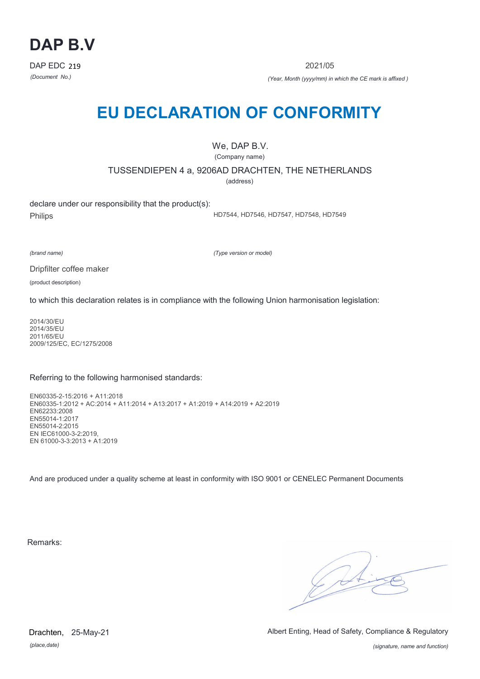

2021/05

*(Document No.) (Year, Month (yyyy/mm) in which the CE mark is affixed )*

# **EU DECLARATION OF CONFORMITY**

We, DAP B.V.

(Company name)

TUSSENDIEPEN 4 a, 9206AD DRACHTEN, THE NETHERLANDS

(address)

declare under our responsibility that the product(s): Philips

HD7544, HD7546, HD7547, HD7548, HD7549

*(brand name)*

*(Type version or model)*

Dripfilter coffee maker

(product description)

to which this declaration relates is in compliance with the following Union harmonisation legislation:

2014/30/EU 2014/35/EU 2011/65/EU 2009/125/EC, EC/1275/2008

### Referring to the following harmonised standards:

EN60335-2-15:2016 + A11:2018 EN60335-1:2012 + AC:2014 + A11:2014 + A13:2017 + A1:2019 + A14:2019 + A2:2019 EN62233:2008 EN55014-1:2017 EN55014-2:2015 EN IEC61000-3-2:2019, EN 61000-3-3:2013 + A1:2019

And are produced under a quality scheme at least in conformity with ISO 9001 or CENELEC Permanent Documents

Remarks:

 $\sqrt{14}$ 

*(place,date)* Drachten, 25-May-21 Albert Enting, Head of Safety, Compliance & Regulatory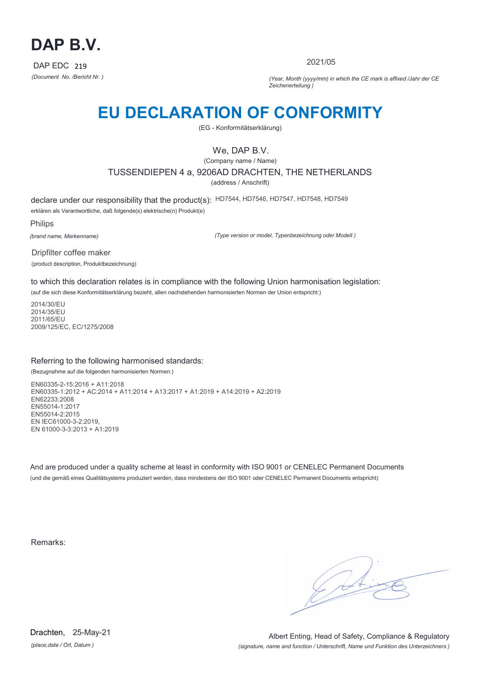

2021/05

*(Document No. /Bericht Nr. ) (Year, Month (yyyy/mm) in which the CE mark is affixed /Jahr der CE Zeichenerteilung )*

# **EU DECLARATION OF CONFORMITY**

(EG - Konformitätserklärung)

## We, DAP B.V.

(Company name / Name) TUSSENDIEPEN 4 a, 9206AD DRACHTEN, THE NETHERLANDS (address / Anschrift)

declare under our responsibility that the product(s): HD7544, HD7546, HD7547, HD7548, HD7549 erklären als Verantwortliche, daß folgende(s) elektrische(n) Produkt(e)

Philips

*(brand name, Markenname)*

*(Type version or model, Typenbezeichnung oder Modell )*

Dripfilter coffee maker (product description, Produktbezeichnung)

to which this declaration relates is in compliance with the following Union harmonisation legislation:

(auf die sich diese Konformitätserklärung bezieht, allen nachstehenden harmonisierten Normen der Union entspricht:)

2014/30/EU 2014/35/EU 2011/65/EU 2009/125/EC, EC/1275/2008

### Referring to the following harmonised standards:

(Bezugnahme auf die folgenden harmonisierten Normen:)

EN60335-2-15:2016 + A11:2018 EN60335-1:2012 + AC:2014 + A11:2014 + A13:2017 + A1:2019 + A14:2019 + A2:2019 EN62233:2008 EN55014-1:2017 EN55014-2:2015 EN IEC61000-3-2:2019, EN 61000-3-3:2013 + A1:2019

And are produced under a quality scheme at least in conformity with ISO 9001 or CENELEC Permanent Documents (und die gemäß eines Qualitätsystems produziert werden, dass mindestens der ISO 9001 oder CENELEC Permanent Documents entspricht)

Remarks:

*(place,date / Ort, Datum )* Drachten, 25-May-21

*(signature, name and function / Unterschrift, Name und Funktion des Unterzeichners )* Albert Enting, Head of Safety, Compliance & Regulatory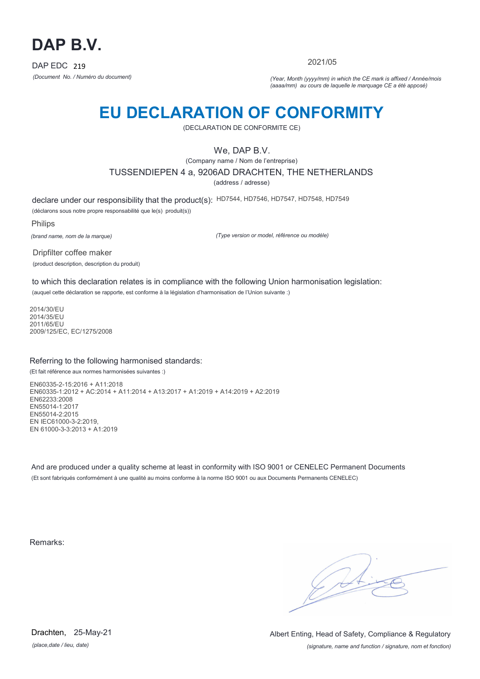

2021/05

*(Document No. / Numéro du document) (Year, Month (yyyy/mm) in which the CE mark is affixed / Année/mois (aaaa/mm) au cours de laquelle le marquage CE a été apposé)*

# **EU DECLARATION OF CONFORMITY**

(DECLARATION DE CONFORMITE CE)

## We, DAP B.V.

(Company name / Nom de l'entreprise) TUSSENDIEPEN 4 a, 9206AD DRACHTEN, THE NETHERLANDS

(address / adresse)

declare under our responsibility that the product(s): HD7544, HD7546, HD7547, HD7548, HD7549

(déclarons sous notre propre responsabilité que le(s) produit(s))

Philips

*(brand name, nom de la marque)*

*(Type version or model, référence ou modèle)*

Dripfilter coffee maker (product description, description du produit)

to which this declaration relates is in compliance with the following Union harmonisation legislation: (auquel cette déclaration se rapporte, est conforme à la législation d'harmonisation de l'Union suivante :)

2014/30/EU 2014/35/EU 2011/65/EU 2009/125/EC, EC/1275/2008

### Referring to the following harmonised standards:

(Et fait référence aux normes harmonisées suivantes :)

EN60335-2-15:2016 + A11:2018 EN60335-1:2012 + AC:2014 + A11:2014 + A13:2017 + A1:2019 + A14:2019 + A2:2019 EN62233:2008 EN55014-1:2017 EN55014-2:2015 EN IEC61000-3-2:2019, EN 61000-3-3:2013 + A1:2019

And are produced under a quality scheme at least in conformity with ISO 9001 or CENELEC Permanent Documents (Et sont fabriqués conformément à une qualité au moins conforme à la norme ISO 9001 ou aux Documents Permanents CENELEC)

Remarks:

 $\sqrt{14}$ 

*(place,date / lieu, date)* Drachten, 25-May-21

*(signature, name and function / signature, nom et fonction)* Albert Enting, Head of Safety, Compliance & Regulatory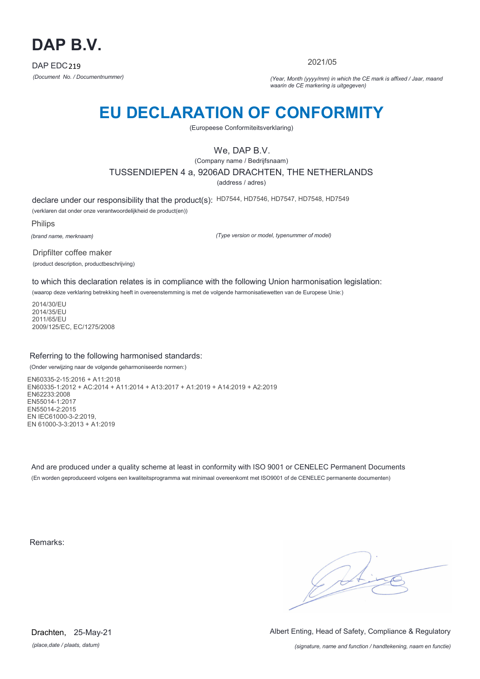

2021/05

*(Document No. / Documentnummer) (Year, Month (yyyy/mm) in which the CE mark is affixed / Jaar, maand waarin de CE markering is uitgegeven)*

# **EU DECLARATION OF CONFORMITY**

(Europeese Conformiteitsverklaring)

## We, DAP B.V.

(Company name / Bedrijfsnaam) TUSSENDIEPEN 4 a, 9206AD DRACHTEN, THE NETHERLANDS (address / adres)

declare under our responsibility that the product(s): HD7544, HD7546, HD7547, HD7548, HD7549 (verklaren dat onder onze verantwoordelijkheid de product(en))

Philips

*(brand name, merknaam)*

*(Type version or model, typenummer of model)*

Dripfilter coffee maker (product description, productbeschrijving)

to which this declaration relates is in compliance with the following Union harmonisation legislation:

(waarop deze verklaring betrekking heeft in overeenstemming is met de volgende harmonisatiewetten van de Europese Unie:)

2014/30/EU 2014/35/EU 2011/65/EU 2009/125/EC, EC/1275/2008

### Referring to the following harmonised standards:

(Onder verwijzing naar de volgende geharmoniseerde normen:)

EN60335-2-15:2016 + A11:2018 EN60335-1:2012 + AC:2014 + A11:2014 + A13:2017 + A1:2019 + A14:2019 + A2:2019 EN62233:2008 EN55014-1:2017 EN55014-2:2015 EN IEC61000-3-2:2019, EN 61000-3-3:2013 + A1:2019

And are produced under a quality scheme at least in conformity with ISO 9001 or CENELEC Permanent Documents (En worden geproduceerd volgens een kwaliteitsprogramma wat minimaal overeenkomt met ISO9001 of de CENELEC permanente documenten)

Remarks:

 $\sqrt{14}$ 

*(place,date / plaats, datum)* Drachten, 25-May-21 Albert Enting, Head of Safety, Compliance & Regulatory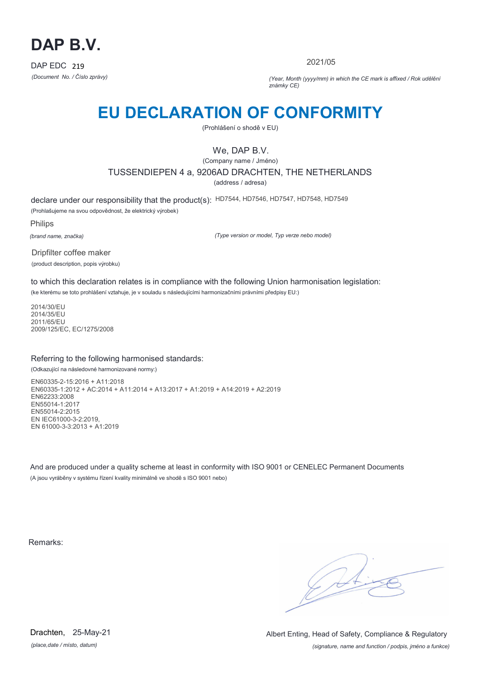

2021/05

*(Document No. / Číslo zprávy) (Year, Month (yyyy/mm) in which the CE mark is affixed / Rok udělění známky CE)*

# **EU DECLARATION OF CONFORMITY**

(Prohlášení o shodě v EU)

## We, DAP B.V.

(Company name / Jméno) TUSSENDIEPEN 4 a, 9206AD DRACHTEN, THE NETHERLANDS

(address / adresa)

declare under our responsibility that the product(s): HD7544, HD7546, HD7547, HD7548, HD7549 (Prohlašujeme na svou odpovědnost, že elektrický výrobek)

Philips

*(brand name, značka)*

*(Type version or model, Typ verze nebo model)*

Dripfilter coffee maker (product description, popis výrobku)

to which this declaration relates is in compliance with the following Union harmonisation legislation:

(ke kterému se toto prohlášení vztahuje, je v souladu s následujícími harmonizačními právními předpisy EU:)

2014/30/EU 2014/35/EU 2011/65/EU 2009/125/EC, EC/1275/2008

### Referring to the following harmonised standards:

(Odkazující na následovné harmonizované normy:)

EN60335-2-15:2016 + A11:2018 EN60335-1:2012 + AC:2014 + A11:2014 + A13:2017 + A1:2019 + A14:2019 + A2:2019 EN62233:2008 EN55014-1:2017 EN55014-2:2015 EN IEC61000-3-2:2019, EN 61000-3-3:2013 + A1:2019

And are produced under a quality scheme at least in conformity with ISO 9001 or CENELEC Permanent Documents (A jsou vyráběny v systému řízení kvality minimálně ve shodě s ISO 9001 nebo)

Remarks:

 $\sqrt{1}$ 

*(place,date / místo, datum)* Drachten, 25-May-21

*(signature, name and function / podpis, jméno a funkce)* Albert Enting, Head of Safety, Compliance & Regulatory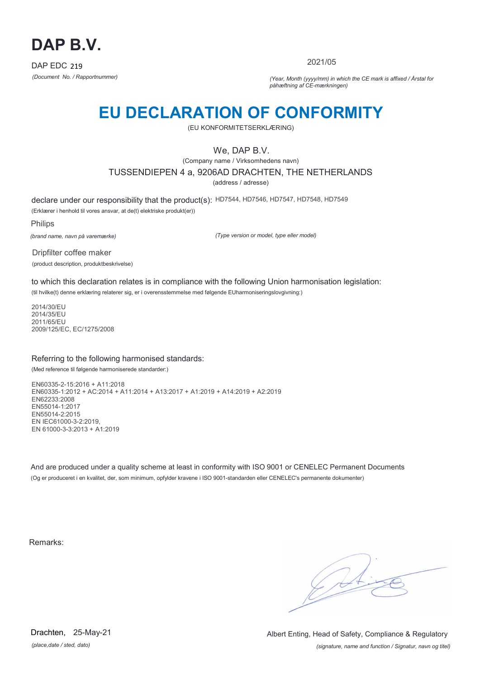

2021/05

*(Document No. / Rapportnummer) (Year, Month (yyyy/mm) in which the CE mark is affixed / Årstal for påhæftning af CE-mærkningen)*

# **EU DECLARATION OF CONFORMITY**

(EU KONFORMITETSERKLÆRING)

## We, DAP B.V.

(Company name / Virksomhedens navn) TUSSENDIEPEN 4 a, 9206AD DRACHTEN, THE NETHERLANDS

(address / adresse)

declare under our responsibility that the product(s): HD7544, HD7546, HD7547, HD7548, HD7549 (Erklærer i henhold til vores ansvar, at de(t) elektriske produkt(er))

Philips

*(brand name, navn på varemærke)*

*(Type version or model, type eller model)*

Dripfilter coffee maker (product description, produktbeskrivelse)

to which this declaration relates is in compliance with the following Union harmonisation legislation:

(til hvilke(t) denne erklæring relaterer sig, er i overensstemmelse med følgende EUharmoniseringslovgivning:)

2014/30/EU 2014/35/EU 2011/65/EU 2009/125/EC, EC/1275/2008

### Referring to the following harmonised standards:

(Med reference til følgende harmoniserede standarder:)

EN60335-2-15:2016 + A11:2018 EN60335-1:2012 + AC:2014 + A11:2014 + A13:2017 + A1:2019 + A14:2019 + A2:2019 EN62233:2008 EN55014-1:2017 EN55014-2:2015 EN IEC61000-3-2:2019, EN 61000-3-3:2013 + A1:2019

And are produced under a quality scheme at least in conformity with ISO 9001 or CENELEC Permanent Documents (Og er produceret i en kvalitet, der, som minimum, opfylder kravene i ISO 9001-standarden eller CENELEC's permanente dokumenter)

Remarks:

 $\sqrt{11}$ 

*(place,date / sted, dato)* Drachten, 25-May-21

*(signature, name and function / Signatur, navn og titel)* Albert Enting, Head of Safety, Compliance & Regulatory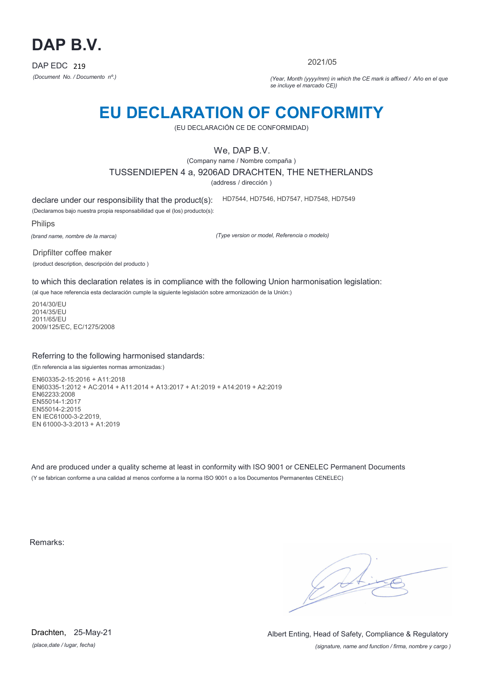

2021/05

*(Document No. / Documento nº.) (Year, Month (yyyy/mm) in which the CE mark is affixed / Año en el que se incluye el marcado CE))*

## **EU DECLARATION OF CONFORMITY**

(EU DECLARACIÓN CE DE CONFORMIDAD)

### We, DAP B.V.

(Company name / Nombre compaña )

TUSSENDIEPEN 4 a, 9206AD DRACHTEN, THE NETHERLANDS

(address / dirección )

declare under our responsibility that the product(s): HD7544, HD7546, HD7547, HD7548, HD7549

(Declaramos bajo nuestra propia responsabilidad que el (los) producto(s):

Philips

*(brand name, nombre de la marca)*

*(Type version or model, Referencia o modelo)*

Dripfilter coffee maker (product description, descripción del producto )

to which this declaration relates is in compliance with the following Union harmonisation legislation:

(al que hace referencia esta declaración cumple la siguiente legislación sobre armonización de la Unión:)

2014/30/EU 2014/35/EU 2011/65/EU 2009/125/EC, EC/1275/2008

### Referring to the following harmonised standards:

(En referencia a las siguientes normas armonizadas:)

EN60335-2-15:2016 + A11:2018 EN60335-1:2012 + AC:2014 + A11:2014 + A13:2017 + A1:2019 + A14:2019 + A2:2019 EN62233:2008 EN55014-1:2017 EN55014-2:2015 EN IEC61000-3-2:2019, EN 61000-3-3:2013 + A1:2019

And are produced under a quality scheme at least in conformity with ISO 9001 or CENELEC Permanent Documents (Y se fabrican conforme a una calidad al menos conforme a la norma ISO 9001 o a los Documentos Permanentes CENELEC)

Remarks:

*(place,date / lugar, fecha)* Drachten, 25-May-21

*(signature, name and function / firma, nombre y cargo )* Albert Enting, Head of Safety, Compliance & Regulatory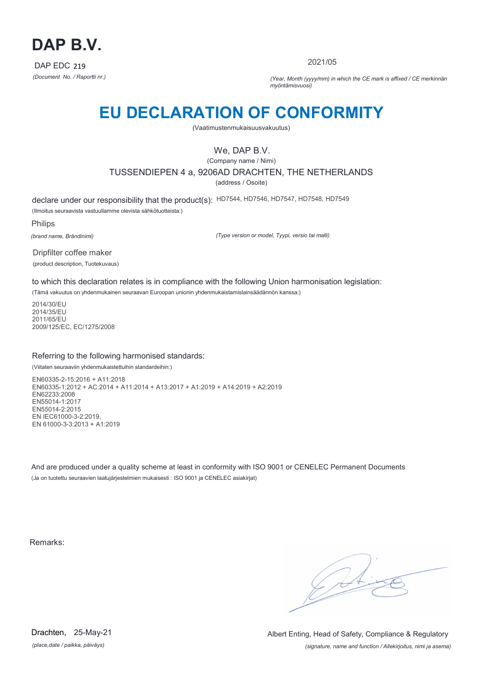

2021/05

*(Document No. / Raportti nr.) (Year, Month (yyyy/mm) in which the CE mark is affixed / CE merkinnän myöntämisvuosi)*

# **EU DECLARATION OF CONFORMITY**

(Vaatimustenmukaisuusvakuutus)

## We, DAP B.V.

(Company name / Nimi) TUSSENDIEPEN 4 a, 9206AD DRACHTEN, THE NETHERLANDS (address / Osoite)

declare under our responsibility that the product(s): HD7544, HD7546, HD7547, HD7548, HD7549

(Ilmoitus seuraavista vastuullamme olevista sähkötuotteista:)

Philips

*(brand name, Brändinimi)*

*(Type version or model, Tyypi, versio tai malli)*

Dripfilter coffee maker (product description, Tuotekuvaus)

to which this declaration relates is in compliance with the following Union harmonisation legislation:

(Tämä vakuutus on yhdenmukainen seuraavan Euroopan unionin yhdenmukaistamislainsäädännön kanssa:)

2014/30/EU 2014/35/EU 2011/65/EU 2009/125/EC, EC/1275/2008

### Referring to the following harmonised standards:

(Viitaten seuraaviin yhdenmukaistettuihin standardeihin:)

EN60335-2-15:2016 + A11:2018 EN60335-1:2012 + AC:2014 + A11:2014 + A13:2017 + A1:2019 + A14:2019 + A2:2019 EN62233:2008 EN55014-1:2017 EN55014-2:2015 EN IEC61000-3-2:2019, EN 61000-3-3:2013 + A1:2019

And are produced under a quality scheme at least in conformity with ISO 9001 or CENELEC Permanent Documents (Ja on tuotettu seuraavien laatujärjestelmien mukaisesti : ISO 9001 ja CENELEC asiakirjat)

Remarks:

 $\sqrt{11}$ 

*(place,date / paikka, päiväys)* Drachten, 25-May-21

*(signature, name and function / Allekirjoitus, nimi ja asema)* Albert Enting, Head of Safety, Compliance & Regulatory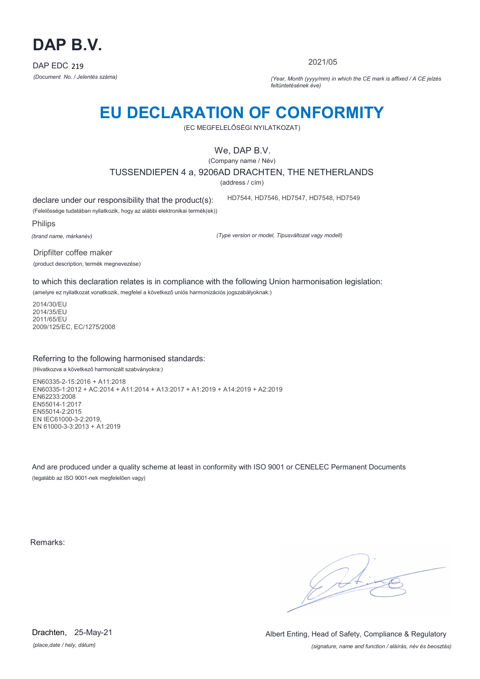

2021/05

*(Document No. / Jelentés száma) (Year, Month (yyyy/mm) in which the CE mark is affixed / A CE jelzés feltüntetésének éve)*

# **EU DECLARATION OF CONFORMITY**

(EC MEGFELELŐSÉGI NYILATKOZAT)

We, DAP B.V.

(Company name / Név)

TUSSENDIEPEN 4 a, 9206AD DRACHTEN, THE NETHERLANDS

(address / cím)

declare under our responsibility that the product(s):

(Felelőssége tudatában nyilatkozik, hogy az alábbi elektronikai termék(ek))

Philips

*(brand name, márkanév)*

*(Type version or model, Típusváltozat vagy modell)*

HD7544, HD7546, HD7547, HD7548, HD7549

Dripfilter coffee maker (product description, termék megnevezése)

to which this declaration relates is in compliance with the following Union harmonisation legislation:

(amelyre ez nyilatkozat vonatkozik, megfelel a következő uniós harmonizációs jogszabályoknak:)

2014/30/EU 2014/35/EU 2011/65/EU 2009/125/EC, EC/1275/2008

### Referring to the following harmonised standards:

(Hivatkozva a következő harmonizált szabványokra:)

EN60335-2-15:2016 + A11:2018 EN60335-1:2012 + AC:2014 + A11:2014 + A13:2017 + A1:2019 + A14:2019 + A2:2019 EN62233:2008 EN55014-1:2017 EN55014-2:2015 EN IEC61000-3-2:2019, EN 61000-3-3:2013 + A1:2019

And are produced under a quality scheme at least in conformity with ISO 9001 or CENELEC Permanent Documents (legalább az ISO 9001-nek megfelelően vagy)

Remarks:

G At

*(place,date / hely, dátum)* Drachten, 25-May-21

*(signature, name and function / aláírás, név és beosztás)* Albert Enting, Head of Safety, Compliance & Regulatory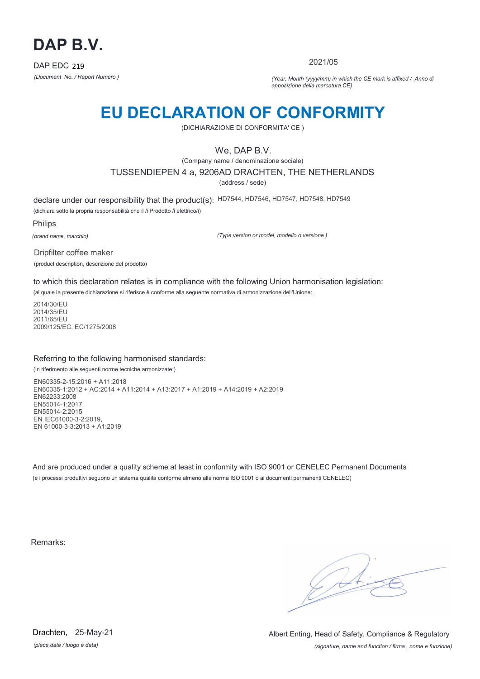

2021/05

*(Document No. / Report Numero ) (Year, Month (yyyy/mm) in which the CE mark is affixed / Anno di apposizione della marcatura CE)*

## **EU DECLARATION OF CONFORMITY**

(DICHIARAZIONE DI CONFORMITA' CE )

### We, DAP B.V.

(Company name / denominazione sociale)

TUSSENDIEPEN 4 a, 9206AD DRACHTEN, THE NETHERLANDS

(address / sede)

declare under our responsibility that the product(s): HD7544, HD7546, HD7547, HD7548, HD7549

(dichiara sotto la propria responsabilità che il /i Prodotto /i elettrico/i)

Philips

*(brand name, marchio)*

*(Type version or model, modello o versione )*

Dripfilter coffee maker (product description, descrizione del prodotto)

to which this declaration relates is in compliance with the following Union harmonisation legislation:

(al quale la presente dichiarazione si riferisce è conforme alla seguente normativa di armonizzazione dell'Unione:

2014/30/EU 2014/35/EU 2011/65/EU 2009/125/EC, EC/1275/2008

### Referring to the following harmonised standards:

(In riferimento alle seguenti norme tecniche armonizzate:)

EN60335-2-15:2016 + A11:2018 EN60335-1:2012 + AC:2014 + A11:2014 + A13:2017 + A1:2019 + A14:2019 + A2:2019 EN62233:2008 EN55014-1:2017 EN55014-2:2015 EN IEC61000-3-2:2019, EN 61000-3-3:2013 + A1:2019

And are produced under a quality scheme at least in conformity with ISO 9001 or CENELEC Permanent Documents (e i processi produttivi seguono un sistema qualità conforme almeno alla norma ISO 9001 o ai documenti permanenti CENELEC)

Remarks:

 $\sqrt{11}$ 

*(place,date / luogo e data)* Drachten, 25-May-21

*(signature, name and function / firma , nome e funzione)* Albert Enting, Head of Safety, Compliance & Regulatory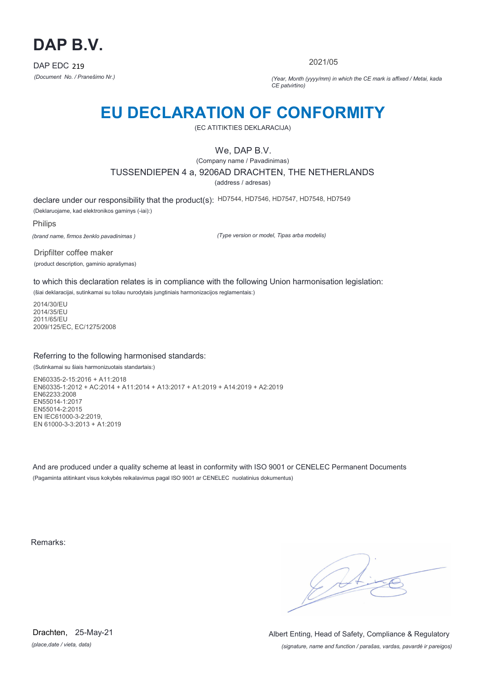

2021/05

*(Document No. / Pranešimo Nr.) (Year, Month (yyyy/mm) in which the CE mark is affixed / Metai, kada CE patvirtino)*

## **EU DECLARATION OF CONFORMITY**

(EC ATITIKTIES DEKLARACIJA)

### We, DAP B.V.

(Company name / Pavadinimas)

TUSSENDIEPEN 4 a, 9206AD DRACHTEN, THE NETHERLANDS

(address / adresas)

declare under our responsibility that the product(s): HD7544, HD7546, HD7547, HD7548, HD7549

(Deklaruojame, kad elektronikos gaminys (-iai):)

Philips

*(brand name, firmos ženklo pavadinimas )*

*(Type version or model, Tipas arba modelis)*

Dripfilter coffee maker (product description, gaminio aprašymas)

to which this declaration relates is in compliance with the following Union harmonisation legislation:

(šiai deklaracijai, sutinkamai su toliau nurodytais jungtiniais harmonizacijos reglamentais:)

2014/30/EU 2014/35/EU 2011/65/EU 2009/125/EC, EC/1275/2008

### Referring to the following harmonised standards:

(Sutinkamai su šiais harmonizuotais standartais:)

EN60335-2-15:2016 + A11:2018 EN60335-1:2012 + AC:2014 + A11:2014 + A13:2017 + A1:2019 + A14:2019 + A2:2019 EN62233:2008 EN55014-1:2017 EN55014-2:2015 EN IEC61000-3-2:2019, EN 61000-3-3:2013 + A1:2019

And are produced under a quality scheme at least in conformity with ISO 9001 or CENELEC Permanent Documents (Pagaminta atitinkant visus kokybės reikalavimus pagal ISO 9001 ar CENELEC nuolatinius dokumentus)

Remarks:

 $\sqrt{14}$ 

*(place,date / vieta, data)* Drachten, 25-May-21

*(signature, name and function / parašas, vardas, pavardė ir pareigos)* Albert Enting, Head of Safety, Compliance & Regulatory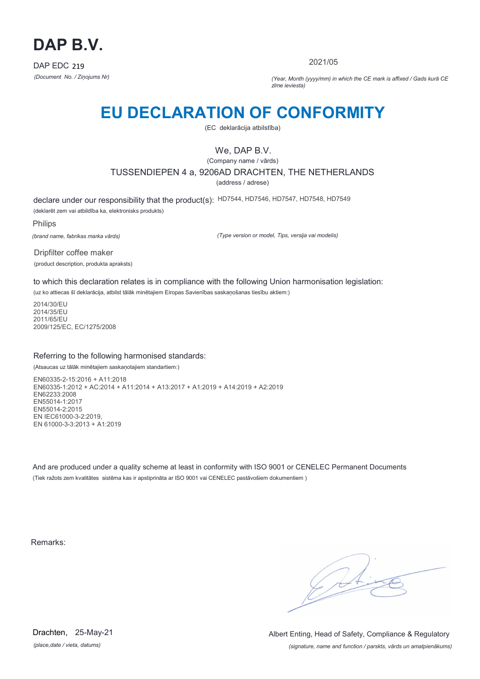

2021/05

*(Document No. / Ziņojums Nr) (Year, Month (yyyy/mm) in which the CE mark is affixed / Gads kurā CE zīme ieviesta)*

## **EU DECLARATION OF CONFORMITY**

(EC deklarācija atbilstība)

### We, DAP B.V.

(Company name / vārds)

TUSSENDIEPEN 4 a, 9206AD DRACHTEN, THE NETHERLANDS

(address / adrese)

declare under our responsibility that the product(s): HD7544, HD7546, HD7547, HD7548, HD7549 (deklarēt zem vai atbildība ka, elektronisks produkts)

Philips

*(brand name, fabrikas marka vārds)*

*(Type version or model, Tips, versija vai modelis)*

Dripfilter coffee maker (product description, produkta apraksts)

to which this declaration relates is in compliance with the following Union harmonisation legislation:

(uz ko attiecas šī deklarācija, atbilst tālāk minētajiem Eiropas Savienības saskaņošanas tiesību aktiem:)

2014/30/EU 2014/35/EU 2011/65/EU 2009/125/EC, EC/1275/2008

### Referring to the following harmonised standards:

(Atsaucas uz tālāk minētajiem saskaņotajiem standartiem:)

EN60335-2-15:2016 + A11:2018 EN60335-1:2012 + AC:2014 + A11:2014 + A13:2017 + A1:2019 + A14:2019 + A2:2019 EN62233:2008 EN55014-1:2017 EN55014-2:2015 EN IEC61000-3-2:2019, EN 61000-3-3:2013 + A1:2019

And are produced under a quality scheme at least in conformity with ISO 9001 or CENELEC Permanent Documents (Tiek ražots zem kvalitātes sistēma kas ir apstiprināta ar ISO 9001 vai CENELEC pastāvošiem dokumentiem )

Remarks:

 $\sqrt{11}$ 

*(place,date / vieta, datums)* Drachten, 25-May-21

*(signature, name and function / parskts, vārds un amatpienākums)* Albert Enting, Head of Safety, Compliance & Regulatory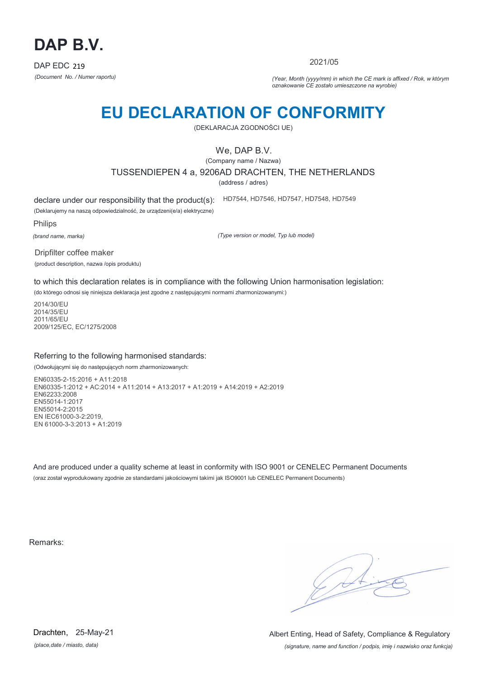

2021/05

*(Document No. / Numer raportu) (Year, Month (yyyy/mm) in which the CE mark is affixed / Rok, w którym oznakowanie CE zostało umieszczone na wyrobie)*

# **EU DECLARATION OF CONFORMITY**

(DEKLARACJA ZGODNOŚCI UE)

### We, DAP B.V.

(Company name / Nazwa)

TUSSENDIEPEN 4 a, 9206AD DRACHTEN, THE NETHERLANDS

(address / adres)

declare under our responsibility that the product(s):

(Deklarujemy na naszą odpowiedzialność, że urządzeni(e/a) elektryczne)

Philips

*(brand name, marka)*

*(Type version or model, Typ lub model)*

HD7544, HD7546, HD7547, HD7548, HD7549

Dripfilter coffee maker

(product description, nazwa /opis produktu)

to which this declaration relates is in compliance with the following Union harmonisation legislation:

(do którego odnosi się niniejsza deklaracja jest zgodne z następującymi normami zharmonizowanymi:)

2014/30/EU 2014/35/EU 2011/65/EU 2009/125/EC, EC/1275/2008

### Referring to the following harmonised standards:

(Odwołującymi się do następujących norm zharmonizowanych:

EN60335-2-15:2016 + A11:2018 EN60335-1:2012 + AC:2014 + A11:2014 + A13:2017 + A1:2019 + A14:2019 + A2:2019 EN62233:2008 EN55014-1:2017 EN55014-2:2015 EN IEC61000-3-2:2019, EN 61000-3-3:2013 + A1:2019

And are produced under a quality scheme at least in conformity with ISO 9001 or CENELEC Permanent Documents (oraz został wyprodukowany zgodnie ze standardami jakościowymi takimi jak ISO9001 lub CENELEC Permanent Documents)

Remarks:

 $\sqrt{1}$ 

*(place,date / miasto, data)* Drachten, 25-May-21

*(signature, name and function / podpis, imię i nazwisko oraz funkcja)* Albert Enting, Head of Safety, Compliance & Regulatory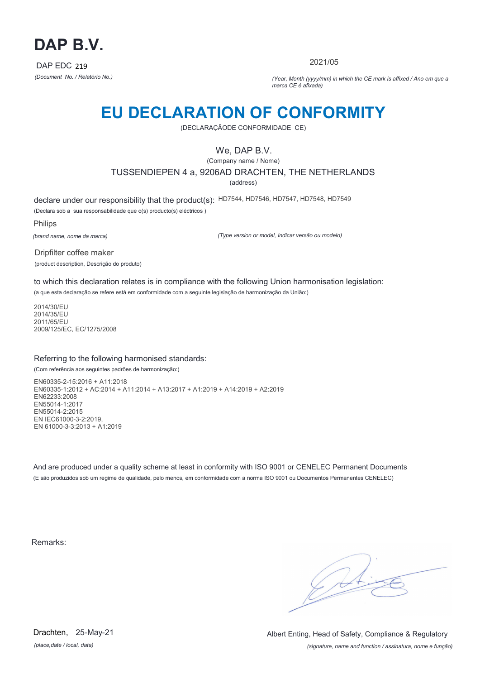

2021/05

*(Document No. / Relatório No.) (Year, Month (yyyy/mm) in which the CE mark is affixed / Ano em que a marca CE é afixada)*

## **EU DECLARATION OF CONFORMITY**

(DECLARAÇÃODE CONFORMIDADE CE)

### We, DAP B.V.

(Company name / Nome) TUSSENDIEPEN 4 a, 9206AD DRACHTEN, THE NETHERLANDS

(address)

declare under our responsibility that the product(s): HD7544, HD7546, HD7547, HD7548, HD7549

(Declara sob a sua responsabilidade que o(s) producto(s) eléctricos )

Philips

*(brand name, nome da marca)*

*(Type version or model, Indicar versão ou modelo)*

Dripfilter coffee maker (product description, Descrição do produto)

to which this declaration relates is in compliance with the following Union harmonisation legislation: (a que esta declaração se refere está em conformidade com a seguinte legislação de harmonização da União:)

2014/30/EU 2014/35/EU 2011/65/EU 2009/125/EC, EC/1275/2008

### Referring to the following harmonised standards:

(Com referência aos seguintes padrões de harmonização:)

EN60335-2-15:2016 + A11:2018 EN60335-1:2012 + AC:2014 + A11:2014 + A13:2017 + A1:2019 + A14:2019 + A2:2019 EN62233:2008 EN55014-1:2017 EN55014-2:2015 EN IEC61000-3-2:2019, EN 61000-3-3:2013 + A1:2019

And are produced under a quality scheme at least in conformity with ISO 9001 or CENELEC Permanent Documents (E são produzidos sob um regime de qualidade, pelo menos, em conformidade com a norma ISO 9001 ou Documentos Permanentes CENELEC)

Remarks:

 $\sqrt{11}$ 

*(place,date / local, data)* Drachten, 25-May-21

*(signature, name and function / assinatura, nome e função)* Albert Enting, Head of Safety, Compliance & Regulatory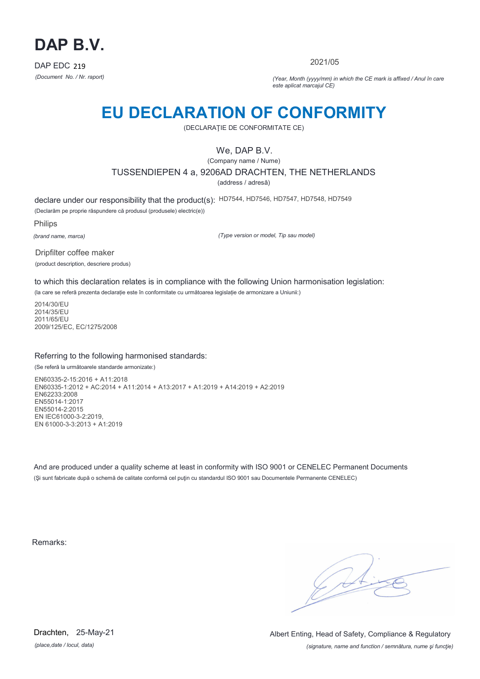

2021/05

*(Document No. / Nr. raport) (Year, Month (yyyy/mm) in which the CE mark is affixed / Anul în care este aplicat marcajul CE)*

## **EU DECLARATION OF CONFORMITY**

(DECLARAŢIE DE CONFORMITATE CE)

### We, DAP B.V.

(Company name / Nume)

TUSSENDIEPEN 4 a, 9206AD DRACHTEN, THE NETHERLANDS

(address / adresă)

declare under our responsibility that the product(s): HD7544, HD7546, HD7547, HD7548, HD7549

(Declarăm pe proprie răspundere că produsul (produsele) electric(e))

Philips

*(brand name, marca)*

*(Type version or model, Tip sau model)*

Dripfilter coffee maker (product description, descriere produs)

to which this declaration relates is in compliance with the following Union harmonisation legislation:

(la care se referă prezenta declarație este în conformitate cu următoarea legislație de armonizare a Uniunii:)

2014/30/EU 2014/35/EU 2011/65/EU 2009/125/EC, EC/1275/2008

### Referring to the following harmonised standards:

(Se referă la următoarele standarde armonizate:)

EN60335-2-15:2016 + A11:2018 EN60335-1:2012 + AC:2014 + A11:2014 + A13:2017 + A1:2019 + A14:2019 + A2:2019 EN62233:2008 EN55014-1:2017 EN55014-2:2015 EN IEC61000-3-2:2019, EN 61000-3-3:2013 + A1:2019

And are produced under a quality scheme at least in conformity with ISO 9001 or CENELEC Permanent Documents (Şi sunt fabricate după o schemă de calitate conformă cel puţin cu standardul ISO 9001 sau Documentele Permanente CENELEC)

Remarks:

*(place,date / locul, data)* Drachten, 25-May-21

*(signature, name and function / semnătura, nume şi funcţie)* Albert Enting, Head of Safety, Compliance & Regulatory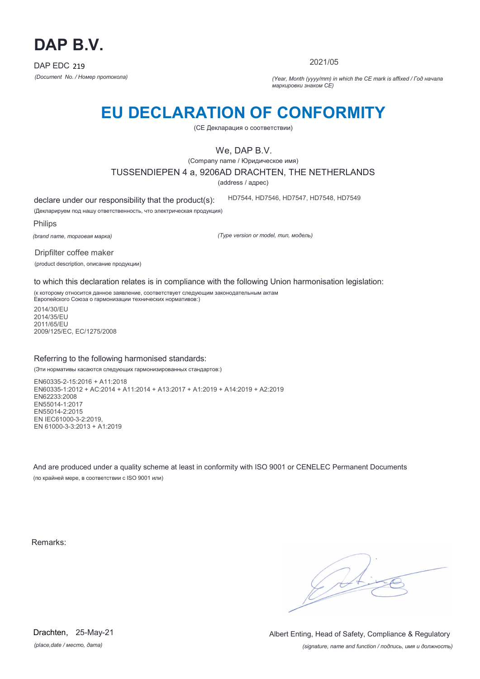

2021/05

*(Document No. / Номер протокола) (Year, Month (yyyy/mm) in which the CE mark is affixed / Год начала маркировки знаком CE)*

# **EU DECLARATION OF CONFORMITY**

(CE Декларация о соответствии)

### We, DAP B.V.

(Company name / Юридическое имя)

TUSSENDIEPEN 4 a, 9206AD DRACHTEN, THE NETHERLANDS

(address / адрес)

declare under our responsibility that the product(s): HD7544, HD7546, HD7547, HD7548, HD7549

(Декларируем под нашу ответственность, что электрическая продукция)

Philips

*(brand name, торговая марка)*

*(Type version or model, тип, модель)*

Dripfilter coffee maker (product description, описание продукции)

to which this declaration relates is in compliance with the following Union harmonisation legislation:

(к которому относится данное заявление, соответствует следующим законодательным актам Европейского Союза о гармонизации технических нормативов:)

2014/30/EU 2014/35/EU 2011/65/EU 2009/125/EC, EC/1275/2008

### Referring to the following harmonised standards:

(Эти нормативы касаются следующих гармонизированных стандартов:)

EN60335-2-15:2016 + A11:2018 EN60335-1:2012 + AC:2014 + A11:2014 + A13:2017 + A1:2019 + A14:2019 + A2:2019 EN62233:2008 EN55014-1:2017 EN55014-2:2015 EN IEC61000-3-2:2019, EN 61000-3-3:2013 + A1:2019

And are produced under a quality scheme at least in conformity with ISO 9001 or CENELEC Permanent Documents (по крайней мере, в соответствии с ISO 9001 или)

Remarks:

 $\sqrt{11}$ 

*(place,date / место, дата)* Drachten, 25-May-21

*(signature, name and function / подпись, имя и должность)* Albert Enting, Head of Safety, Compliance & Regulatory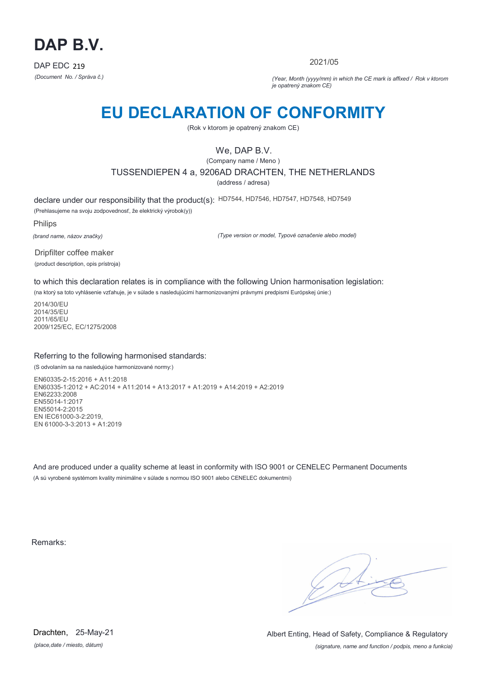

2021/05

*(Document No. / Správa č.) (Year, Month (yyyy/mm) in which the CE mark is affixed / Rok v ktorom je opatrený znakom CE)*

## **EU DECLARATION OF CONFORMITY**

(Rok v ktorom je opatrený znakom CE)

### We, DAP B.V.

(Company name / Meno )

TUSSENDIEPEN 4 a, 9206AD DRACHTEN, THE NETHERLANDS

(address / adresa)

declare under our responsibility that the product(s): HD7544, HD7546, HD7547, HD7548, HD7549 (Prehlasujeme na svoju zodpovednosť, že elektrický výrobok(y))

Philips

*(brand name, názov značky)*

*(Type version or model, Typové označenie alebo model)*

Dripfilter coffee maker (product description, opis prístroja)

to which this declaration relates is in compliance with the following Union harmonisation legislation:

(na ktorý sa toto vyhlásenie vzťahuje, je v súlade s nasledujúcimi harmonizovanými právnymi predpismi Európskej únie:)

2014/30/EU 2014/35/EU 2011/65/EU 2009/125/EC, EC/1275/2008

### Referring to the following harmonised standards:

(S odvolaním sa na nasledujúce harmonizované normy:)

EN60335-2-15:2016 + A11:2018 EN60335-1:2012 + AC:2014 + A11:2014 + A13:2017 + A1:2019 + A14:2019 + A2:2019 EN62233:2008 EN55014-1:2017 EN55014-2:2015 EN IEC61000-3-2:2019, EN 61000-3-3:2013 + A1:2019

And are produced under a quality scheme at least in conformity with ISO 9001 or CENELEC Permanent Documents (A sú vyrobené systémom kvality minimálne v súlade s normou ISO 9001 alebo CENELEC dokumentmi)

Remarks:

 $\sqrt{4}$ 

*(place,date / miesto, dátum)* Drachten, 25-May-21

*(signature, name and function / podpis, meno a funkcia)* Albert Enting, Head of Safety, Compliance & Regulatory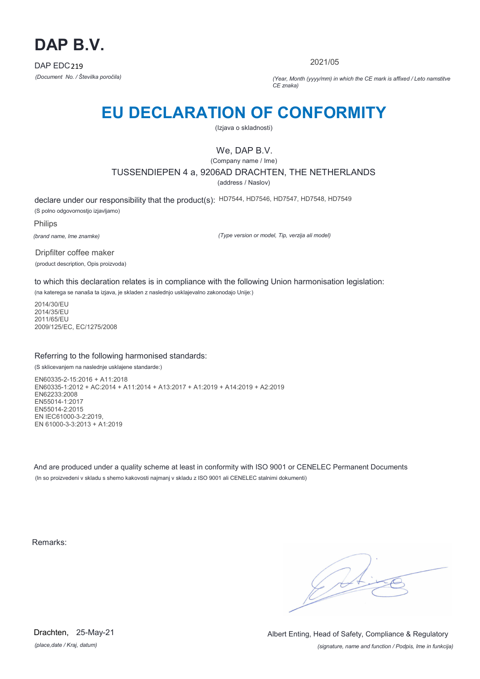

2021/05

*(Document No. / Številka poročila) (Year, Month (yyyy/mm) in which the CE mark is affixed / Leto namstitve CE znaka)*

# **EU DECLARATION OF CONFORMITY**

(Izjava o skladnosti)

## We, DAP B.V.

(Company name / Ime)

TUSSENDIEPEN 4 a, 9206AD DRACHTEN, THE NETHERLANDS

(address / Naslov)

declare under our responsibility that the product(s): HD7544, HD7546, HD7547, HD7548, HD7549 (S polno odgovornostjo izjavljamo)

Philips

*(brand name, Ime znamke)*

*(Type version or model, Tip, verzija ali model)*

Dripfilter coffee maker (product description, Opis proizvoda)

to which this declaration relates is in compliance with the following Union harmonisation legislation:

(na katerega se nanaša ta izjava, je skladen z naslednjo usklajevalno zakonodajo Unije:)

2014/30/EU 2014/35/EU 2011/65/EU 2009/125/EC, EC/1275/2008

### Referring to the following harmonised standards:

(S sklicevanjem na naslednje usklajene standarde:)

EN60335-2-15:2016 + A11:2018 EN60335-1:2012 + AC:2014 + A11:2014 + A13:2017 + A1:2019 + A14:2019 + A2:2019 EN62233:2008 EN55014-1:2017 EN55014-2:2015 EN IEC61000-3-2:2019, EN 61000-3-3:2013 + A1:2019

And are produced under a quality scheme at least in conformity with ISO 9001 or CENELEC Permanent Documents (In so proizvedeni v skladu s shemo kakovosti najmanj v skladu z ISO 9001 ali CENELEC stalnimi dokumenti)

Remarks:

 $\sqrt{4}$ 

*(place,date / Kraj, datum)* Drachten, 25-May-21

*(signature, name and function / Podpis, Ime in funkcija)* Albert Enting, Head of Safety, Compliance & Regulatory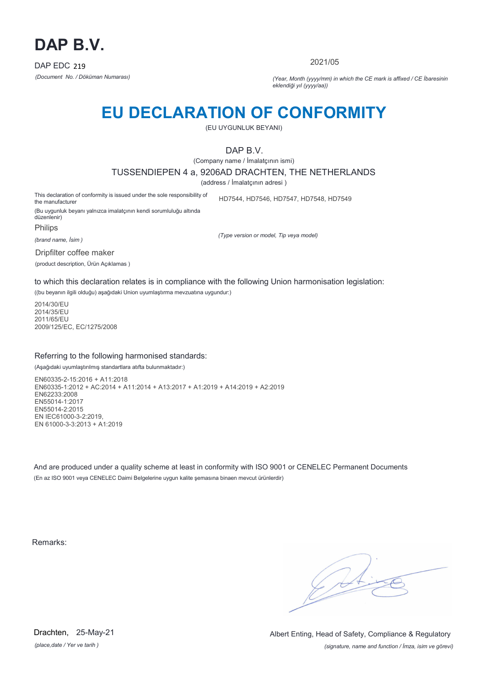

2021/05

*(Document No. / Döküman Numarası) (Year, Month (yyyy/mm) in which the CE mark is affixed / CE İbaresinin eklendiği yıl (yyyy/aa))*

## **EU DECLARATION OF CONFORMITY**

(EU UYGUNLUK BEYANI)

DAP B.V.

(Company name / İmalatçının ismi)

TUSSENDIEPEN 4 a, 9206AD DRACHTEN, THE NETHERLANDS

(address / İmalatçının adresi )

This declaration of conformity is issued under the sole responsibility of the manufacturer HD7544, HD7546, HD7547, HD7548, HD7549

(Bu uygunluk beyanı yalnızca imalatçının kendi sorumluluğu altında düzenlenir)

Philips

*(brand name, İsim )*

*(Type version or model, Tip veya model)*

Dripfilter coffee maker

(product description, Ürün Açıklamas )

to which this declaration relates is in compliance with the following Union harmonisation legislation:

((bu beyanın ilgili olduğu) aşağıdaki Union uyumlaştırma mevzuatına uygundur:)

2014/30/EU 2014/35/EU 2011/65/EU 2009/125/EC, EC/1275/2008

### Referring to the following harmonised standards:

(Aşağıdaki uyumlaştırılmış standartlara atıfta bulunmaktadır:)

EN60335-2-15:2016 + A11:2018 EN60335-1:2012 + AC:2014 + A11:2014 + A13:2017 + A1:2019 + A14:2019 + A2:2019 EN62233:2008 EN55014-1:2017 EN55014-2:2015 EN IEC61000-3-2:2019, EN 61000-3-3:2013 + A1:2019

And are produced under a quality scheme at least in conformity with ISO 9001 or CENELEC Permanent Documents (En az ISO 9001 veya CENELEC Daimi Belgelerine uygun kalite şemasına binaen mevcut ürünlerdir)

Remarks:

 $\sqrt{14}$ 

*(place,date / Yer ve tarih )* Drachten, 25-May-21

*(signature, name and function / İmza, isim ve görevi)* Albert Enting, Head of Safety, Compliance & Regulatory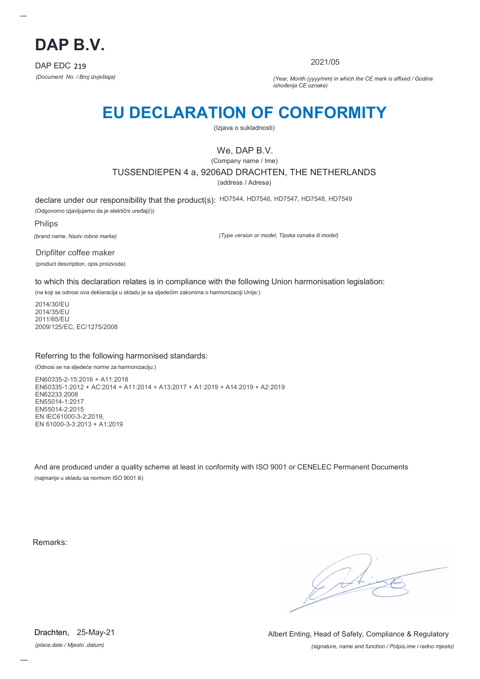

2021/05

*(Document No. / Broj izvještaja) (Year, Month (yyyy/mm) in which the CE mark is affixed / Godina ishođenja CE oznake)*

# **EU DECLARATION OF CONFORMITY**

(Izjava o sukladnosti)

## We, DAP B.V.

(Company name / Ime)

TUSSENDIEPEN 4 a, 9206AD DRACHTEN, THE NETHERLANDS

(address / Adresa)

declare under our responsibility that the product(s): HD7544, HD7546, HD7547, HD7548, HD7549 (Odgovorno izjavljujemo da je elektični uređaj(i))

Philips

*(brand name, Naziv robne marke)*

*(Type version or model, Tipska oznaka ili model)*

Dripfilter coffee maker (product description, opis proizvoda)

to which this declaration relates is in compliance with the following Union harmonisation legislation:

(na koji se odnosi ova deklaracija u skladu je sa sljedećim zakonima o harmonizaciji Unije:)

2014/30/EU 2014/35/EU 2011/65/EU 2009/125/EC, EC/1275/2008

### Referring to the following harmonised standards:

(Odnosi se na sljedeće norme za harmonizaciju:)

EN60335-2-15:2016 + A11:2018 EN60335-1:2012 + AC:2014 + A11:2014 + A13:2017 + A1:2019 + A14:2019 + A2:2019 EN62233:2008 EN55014-1:2017 EN55014-2:2015 EN IEC61000-3-2:2019, EN 61000-3-3:2013 + A1:2019

And are produced under a quality scheme at least in conformity with ISO 9001 or CENELEC Permanent Documents (najmanje u skladu sa normom ISO 9001 ili)

Remarks:

 $\mathcal{L}$ 

*(place,date / Mjesto ,datum)* Drachten, 25-May-21

*(signature, name and function / Potpis,ime i radno mjesto)* Albert Enting, Head of Safety, Compliance & Regulatory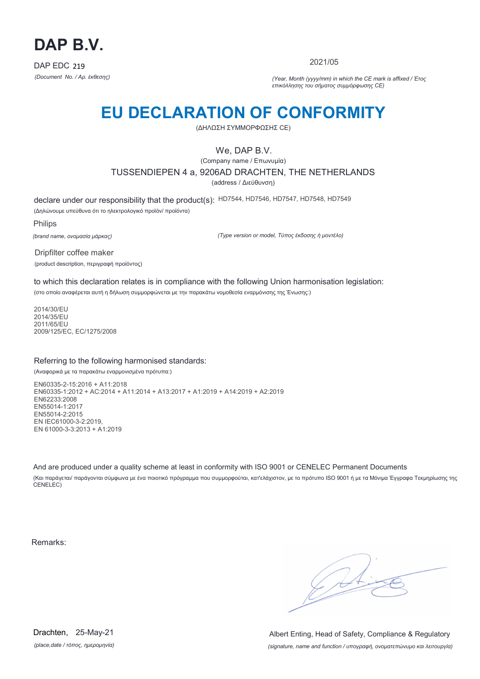

2021/05

*(Document No. / Αρ. έκθεσης) (Year, Month (yyyy/mm) in which the CE mark is affixed / Έτος επικόλλησης του σήματος συμμόρφωσης CE)*

# **EU DECLARATION OF CONFORMITY**

(ΔΗΛΩΣΗ ΣΥΜΜΟΡΦΩΣΗΣ CE)

### We, DAP B.V.

(Company name / Επωνυμία) TUSSENDIEPEN 4 a, 9206AD DRACHTEN, THE NETHERLANDS (address / Διεύθυνση)

declare under our responsibility that the product(s): HD7544, HD7546, HD7547, HD7548, HD7549 (Δηλώνουμε υπεύθυνα ότι το ηλεκτρολογικό προϊόν/ προϊόντα)

Philips

*(brand name, ονομασία μάρκας)*

*(Type version or model, Τύπος έκδοσης ή μοντέλο)*

Dripfilter coffee maker (product description, περιγραφή προϊόντος)

to which this declaration relates is in compliance with the following Union harmonisation legislation: (στο οποίο αναφέρεται αυτή η δήλωση συμμορφώνεται με την παρακάτω νομοθεσία εναρμόνισης της Ένωσης:)

2014/30/EU 2014/35/EU 2011/65/EU 2009/125/EC, EC/1275/2008

### Referring to the following harmonised standards:

(Αναφορικά με τα παρακάτω εναρμονισμένα πρότυπα:)

EN60335-2-15:2016 + A11:2018 EN60335-1:2012 + AC:2014 + A11:2014 + A13:2017 + A1:2019 + A14:2019 + A2:2019 EN62233:2008 EN55014-1:2017 EN55014-2:2015 EN IEC61000-3-2:2019, EN 61000-3-3:2013 + A1:2019

And are produced under a quality scheme at least in conformity with ISO 9001 or CENELEC Permanent Documents (Και παράγεται/ παράγονται σύμφωνα με ένα ποιοτικό πρόγραμμα που συμμορφούται, κατ'ελάχιστον, με το πρότυπο ISO 9001 ή με τα Μόνιμα Έγγραφα Τεκμηρίωσης της CENELEC)

Remarks:

 $\sqrt{4}$ 

*(place,date / τόπος, ημερομηνία)* Drachten, 25-May-21

*(signature, name and function / υπογραφή, ονοματεπώνυμο και λειτουργία)* Albert Enting, Head of Safety, Compliance & Regulatory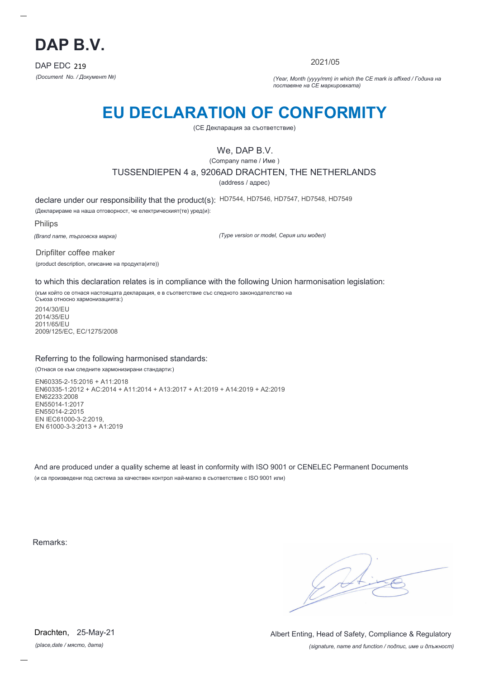

2021/05

*(Document No. / Документ №) (Year, Month (yyyy/mm) in which the CE mark is affixed / Година на поставяне на CE маркировката)*

# **EU DECLARATION OF CONFORMITY**

(CE Декларация за съответствие)

## We, DAP B.V.

(Company name / Име )

TUSSENDIEPEN 4 a, 9206AD DRACHTEN, THE NETHERLANDS

(address / адрес)

declare under our responsibility that the product(s): HD7544, HD7546, HD7547, HD7548, HD7549

(Декларираме на наша отговорност, че електрическият(те) уред(и):

Philips

*(Brand name, търговска марка)*

*(Type version or model, Серия или модел)*

Dripfilter coffee maker (product description, описание на продукта(ите))

to which this declaration relates is in compliance with the following Union harmonisation legislation:

(към който се отнася настоящата декларация, е в съответствие със следното законодателство на Съюза относно хармонизацията:)

2014/30/EU 2014/35/EU 2011/65/EU 2009/125/EC, EC/1275/2008

### Referring to the following harmonised standards:

(Отнася се към следните хармонизирани стандарти:)

EN60335-2-15:2016 + A11:2018 EN60335-1:2012 + AC:2014 + A11:2014 + A13:2017 + A1:2019 + A14:2019 + A2:2019 EN62233:2008 EN55014-1:2017 EN55014-2:2015 EN IEC61000-3-2:2019, EN 61000-3-3:2013 + A1:2019

And are produced under a quality scheme at least in conformity with ISO 9001 or CENELEC Permanent Documents (и са произведени под система за качествен контрол най-малко в съответствие с ISO 9001 или)

Remarks:

*(place,date / място, дата)* Drachten, 25-May-21

*(signature, name and function / подпис, име и длъжност)* Albert Enting, Head of Safety, Compliance & Regulatory